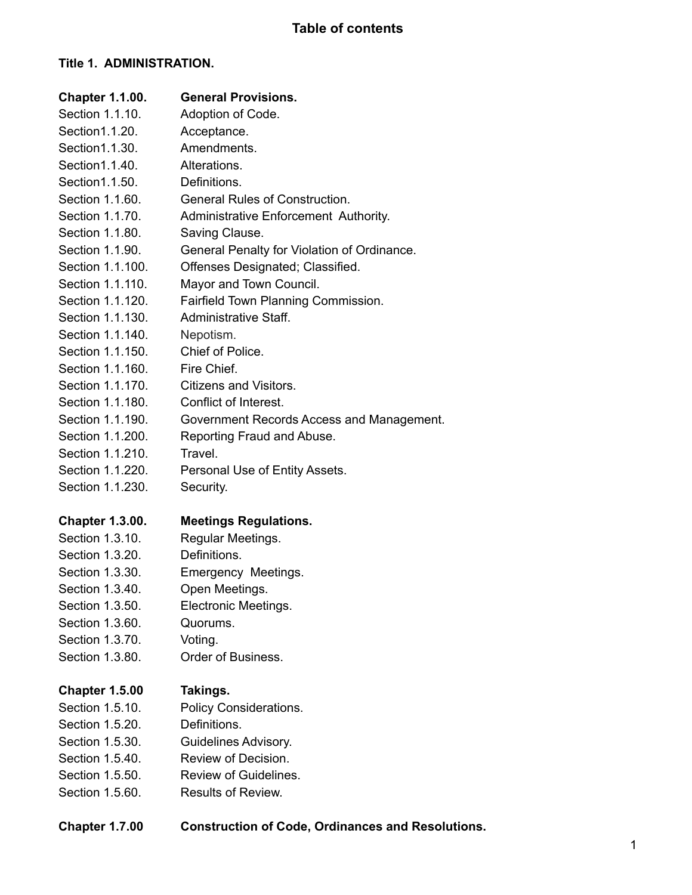# **Title 1. ADMINISTRATION.**

| <b>Chapter 1.1.00.</b> | <b>General Provisions.</b>                  |
|------------------------|---------------------------------------------|
| Section 1.1.10.        | Adoption of Code.                           |
| Section 1.1.20.        | Acceptance.                                 |
| Section 1.1.30.        | Amendments.                                 |
| Section 1.1.40.        | Alterations.                                |
| Section 1.1.50.        | Definitions.                                |
| Section 1.1.60.        | <b>General Rules of Construction.</b>       |
| Section 1.1.70.        | Administrative Enforcement Authority.       |
| Section 1.1.80.        | Saving Clause.                              |
| Section 1.1.90.        | General Penalty for Violation of Ordinance. |
| Section 1.1.100.       | Offenses Designated; Classified.            |
| Section 1.1.110.       | Mayor and Town Council.                     |
| Section 1.1.120.       | Fairfield Town Planning Commission.         |
| Section 1.1.130.       | Administrative Staff.                       |
| Section 1.1.140.       | Nepotism.                                   |
| Section 1.1.150.       | Chief of Police.                            |
| Section 1.1.160.       | Fire Chief.                                 |
| Section 1.1.170.       | <b>Citizens and Visitors.</b>               |
| Section 1.1.180.       | Conflict of Interest.                       |
| Section 1.1.190.       | Government Records Access and Management.   |
| Section 1.1.200.       | Reporting Fraud and Abuse.                  |
| Section 1.1.210.       | Travel.                                     |
| Section 1.1.220.       | Personal Use of Entity Assets.              |
| Section 1.1.230.       | Security.                                   |
| <b>Chapter 1.3.00.</b> | <b>Meetings Regulations.</b>                |
| Section 1.3.10.        | Regular Meetings.                           |
| Section 1.3.20.        | Definitions.                                |
| Section 1.3.30.        | Emergency Meetings.                         |
| Section 1.3.40.        | Open Meetings.                              |
| Section 1.3.50.        | Electronic Meetings.                        |
| Section 1.3.60.        | Quorums.                                    |
| Section 1.3.70.        | Voting.                                     |
| Section 1.3.80.        | Order of Business.                          |
| <b>Chapter 1.5.00</b>  | Takings.                                    |
| Section 1.5.10.        | Policy Considerations.                      |
| Section 1.5.20.        | Definitions.                                |
| Section 1.5.30.        | Guidelines Advisory.                        |
| Section 1.5.40.        | Review of Decision.                         |
| Section 1.5.50.        | Review of Guidelines.                       |
| Section 1.5.60.        | Results of Review.                          |
|                        |                                             |
|                        |                                             |

| <b>Chapter 1.7.00</b> | <b>Construction of Code, Ordinances and Resolutions.</b> |  |
|-----------------------|----------------------------------------------------------|--|
|-----------------------|----------------------------------------------------------|--|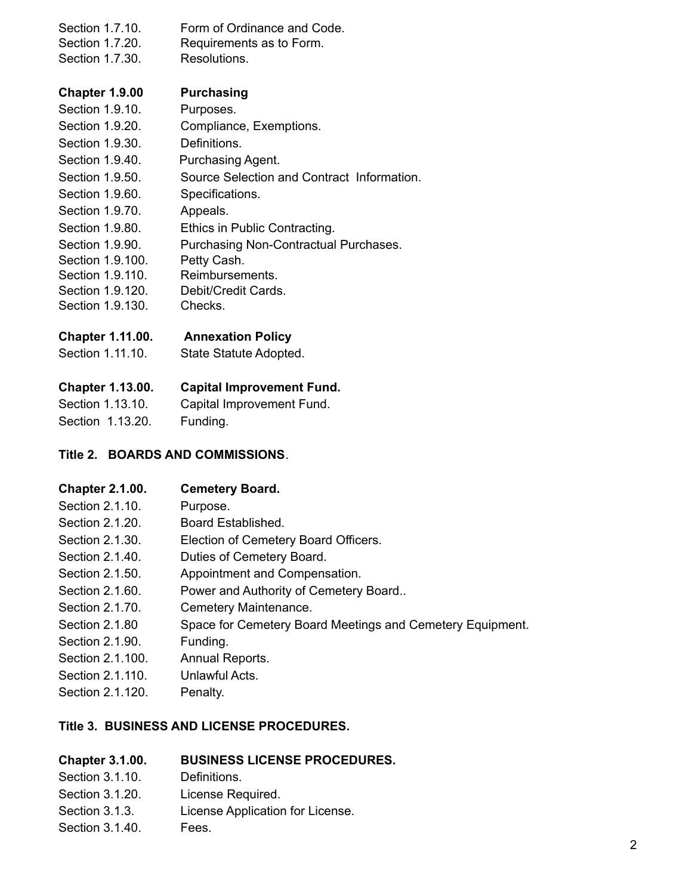| Section 1.7.10.<br>Section 1.7.20.<br>Section 1.7.30. | Form of Ordinance and Code.<br>Requirements as to Form.<br>Resolutions. |
|-------------------------------------------------------|-------------------------------------------------------------------------|
| Chapter 1.9.00                                        | <b>Purchasing</b>                                                       |
| Section 1.9.10.                                       | Purposes.                                                               |
| Section 1.9.20.                                       | Compliance, Exemptions.                                                 |
| Section 1.9.30.                                       | Definitions.                                                            |
| Section 1.9.40.                                       | Purchasing Agent.                                                       |
|                                                       |                                                                         |

- Section 1.9.50. Source Selection and Contract Information.
- Section 1.9.60. Specifications.
- Section 1.9.70. Appeals.
- Section 1.9.80. Ethics in Public Contracting.
- Section 1.9.90. Purchasing Non-Contractual Purchases.
- Section 1.9.100. Petty Cash.
- Section 1.9.110. Reimbursements.
- Section 1.9.120. Debit/Credit Cards.
- Section 1.9.130. Checks.

### **Chapter 1.11.00. Annexation Policy**

Section 1.11.10. State Statute Adopted.

# **Chapter 1.13.00. Capital Improvement Fund.**

| Section 1.13.10. | Capital Improvement Fund. |
|------------------|---------------------------|
| Section 1.13.20. | Funding.                  |

### **Title 2. BOARDS AND COMMISSIONS**.

# **Chapter 2.1.00. Cemetery Board.**

- Section 2.1.10. Purpose.
- Section 2.1.20. Board Established.
- Section 2.1.30. Election of Cemetery Board Officers.
- Section 2.1.40. Duties of Cemetery Board.
- Section 2.1.50. Appointment and Compensation.
- Section 2.1.60. Power and Authority of Cemetery Board..
- Section 2.1.70. Cemetery Maintenance.
- Section 2.1.80 Space for Cemetery Board Meetings and Cemetery Equipment.
- Section 2.1.90. Funding.
- Section 2.1.100. Annual Reports.
- Section 2.1.110. Unlawful Acts.
- Section 2.1.120. Penalty.

### **Title 3. BUSINESS AND LICENSE PROCEDURES.**

### **Chapter 3.1.00. BUSINESS LICENSE PROCEDURES.**

- Section 3.1.10. Definitions.
- Section 3.1.20. License Required.
- Section 3.1.3. License Application for License.
- Section 3.1.40. Fees.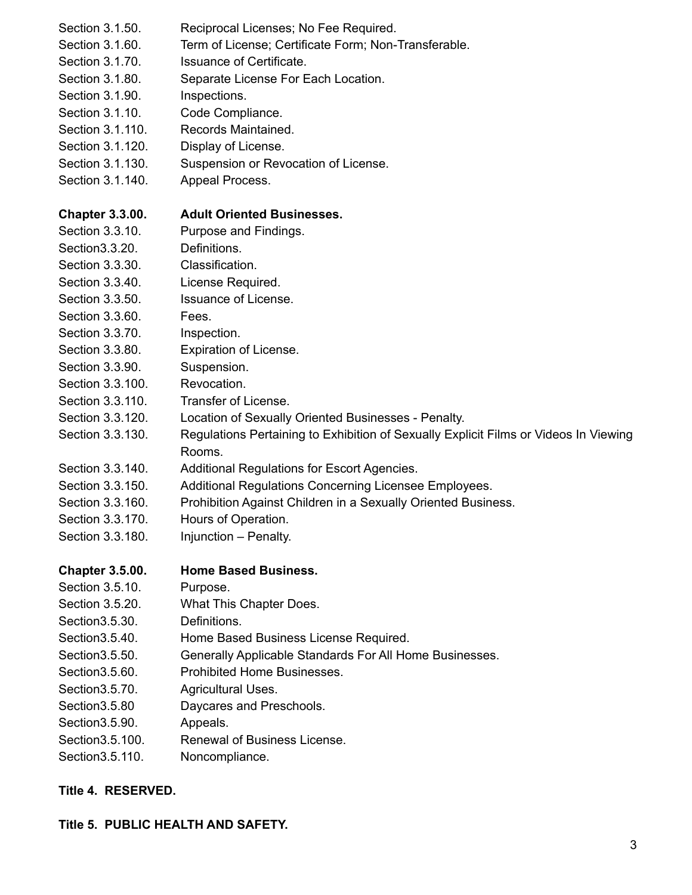| Section 3.1.50.        | Reciprocal Licenses; No Fee Required.                                                          |
|------------------------|------------------------------------------------------------------------------------------------|
| Section 3.1.60.        | Term of License; Certificate Form; Non-Transferable.                                           |
| Section 3.1.70.        | Issuance of Certificate.                                                                       |
| Section 3.1.80.        | Separate License For Each Location.                                                            |
| Section 3.1.90.        | Inspections.                                                                                   |
| Section 3.1.10.        | Code Compliance.                                                                               |
| Section 3.1.110.       | Records Maintained.                                                                            |
| Section 3.1.120.       | Display of License.                                                                            |
| Section 3.1.130.       | Suspension or Revocation of License.                                                           |
| Section 3.1.140.       | Appeal Process.                                                                                |
| <b>Chapter 3.3.00.</b> | <b>Adult Oriented Businesses.</b>                                                              |
| Section 3.3.10.        | Purpose and Findings.                                                                          |
| Section 3.3.20.        | Definitions.                                                                                   |
| Section 3.3.30.        | Classification.                                                                                |
| Section 3.3.40.        | License Required.                                                                              |
| Section 3.3.50.        | <b>Issuance of License.</b>                                                                    |
| Section 3.3.60.        | Fees.                                                                                          |
| Section 3.3.70.        | Inspection.                                                                                    |
| Section 3.3.80.        | Expiration of License.                                                                         |
| Section 3.3.90.        | Suspension.                                                                                    |
| Section 3.3.100.       | Revocation.                                                                                    |
| Section 3.3.110.       | Transfer of License.                                                                           |
| Section 3.3.120.       | Location of Sexually Oriented Businesses - Penalty.                                            |
| Section 3.3.130.       | Regulations Pertaining to Exhibition of Sexually Explicit Films or Videos In Viewing<br>Rooms. |
| Section 3.3.140.       | Additional Regulations for Escort Agencies.                                                    |
| Section 3.3.150.       | Additional Regulations Concerning Licensee Employees.                                          |
| Section 3.3.160.       | Prohibition Against Children in a Sexually Oriented Business.                                  |
| Section 3.3.170        | Hours of Operation.                                                                            |
| Section 3.3.180.       | Injunction - Penalty.                                                                          |
| <b>Chapter 3.5.00.</b> | <b>Home Based Business.</b>                                                                    |
| Section 3.5.10.        | Purpose.                                                                                       |
| Section 3.5.20.        | What This Chapter Does.                                                                        |
| Section 3.5.30.        | Definitions.                                                                                   |
| Section 3.5.40.        | Home Based Business License Required.                                                          |
| Section 3.5.50.        | Generally Applicable Standards For All Home Businesses.                                        |
| Section 3.5.60.        | Prohibited Home Businesses.                                                                    |
| Section 3.5.70.        | Agricultural Uses.                                                                             |
| Section 3.5.80         | Daycares and Preschools.                                                                       |
| Section 3.5.90.        | Appeals.                                                                                       |
| Section 3.5.100.       | Renewal of Business License.                                                                   |
| Section 3.5.110.       | Noncompliance.                                                                                 |

# **Title 4. RESERVED.**

# **Title 5. PUBLIC HEALTH AND SAFETY.**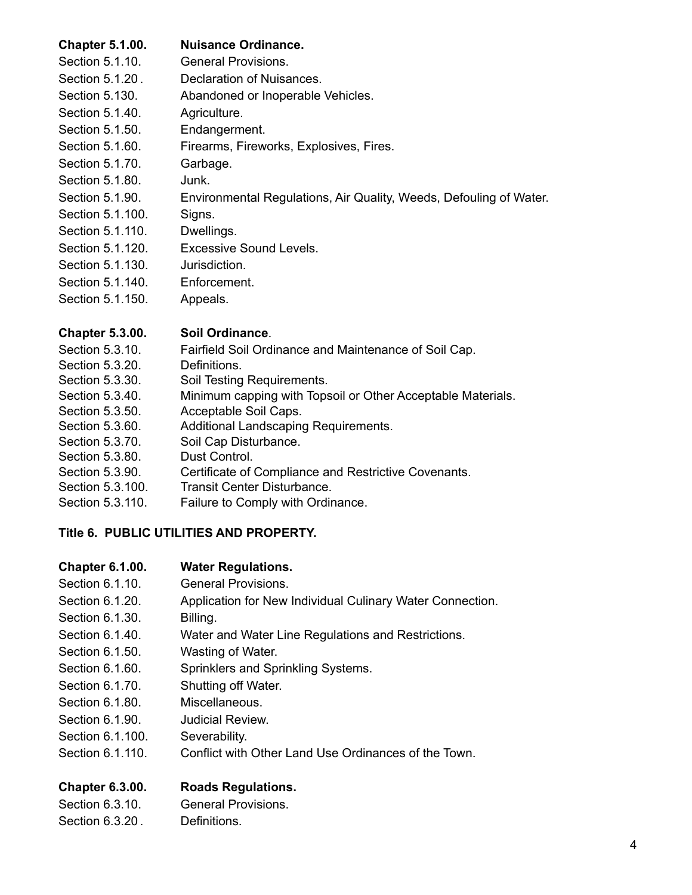# **Chapter 5.1.00. Nuisance Ordinance.**

| Section 5.1.10.  | General Provisions.                                                |
|------------------|--------------------------------------------------------------------|
| Section 5.1.20.  | Declaration of Nuisances.                                          |
| Section 5.130.   | Abandoned or Inoperable Vehicles.                                  |
| Section 5.1.40.  | Agriculture.                                                       |
| Section 5.1.50.  | Endangerment.                                                      |
| Section 5.1.60.  | Firearms, Fireworks, Explosives, Fires.                            |
| Section 5.1.70.  | Garbage.                                                           |
| Section 5.1.80.  | Junk.                                                              |
| Section 5.1.90.  | Environmental Regulations, Air Quality, Weeds, Defouling of Water. |
| Section 5.1.100. | Signs.                                                             |
| Section 5.1.110. | Dwellings.                                                         |
| Section 5.1.120. | Excessive Sound Levels.                                            |
| Section 5.1.130. | Jurisdiction.                                                      |
| Section 5.1.140. | Enforcement.                                                       |
| Section 5.1.150. | Appeals.                                                           |
|                  |                                                                    |

### **Chapter 5.3.00. Soil Ordinance**.

| Section 5.3.10.  | Fairfield Soil Ordinance and Maintenance of Soil Cap.       |
|------------------|-------------------------------------------------------------|
| Section 5.3.20.  | Definitions.                                                |
| Section 5.3.30.  | Soil Testing Requirements.                                  |
| Section 5.3.40.  | Minimum capping with Topsoil or Other Acceptable Materials. |
| Section 5.3.50.  | Acceptable Soil Caps.                                       |
| Section 5.3.60.  | Additional Landscaping Requirements.                        |
| Section 5.3.70.  | Soil Cap Disturbance.                                       |
| Section 5.3.80.  | Dust Control.                                               |
| Section 5.3.90.  | Certificate of Compliance and Restrictive Covenants.        |
| Section 5.3.100. | <b>Transit Center Disturbance.</b>                          |
| Section 5.3.110. | Failure to Comply with Ordinance.                           |
|                  |                                                             |

# **Title 6. PUBLIC UTILITIES AND PROPERTY.**

# **Chapter 6.1.00. Water Regulations.**

| Section 6.1.10.  | <b>General Provisions.</b>                                |
|------------------|-----------------------------------------------------------|
| Section 6.1.20.  | Application for New Individual Culinary Water Connection. |
| Section 6.1.30.  | Billing.                                                  |
| Section 6.1.40.  | Water and Water Line Regulations and Restrictions.        |
| Section 6.1.50.  | Wasting of Water.                                         |
| Section 6.1.60.  | Sprinklers and Sprinkling Systems.                        |
| Section 6.1.70.  | Shutting off Water.                                       |
| Section 6.1.80.  | Miscellaneous.                                            |
| Section 6.1.90.  | Judicial Review.                                          |
| Section 6.1.100. | Severability.                                             |
| Section 6.1.110. | Conflict with Other Land Use Ordinances of the Town.      |
|                  |                                                           |
|                  |                                                           |

# **Chapter 6.3.00. Roads Regulations.**

| Section 6.3.10. | <b>General Provisions.</b> |
|-----------------|----------------------------|
| Section 6.3.20. | Definitions.               |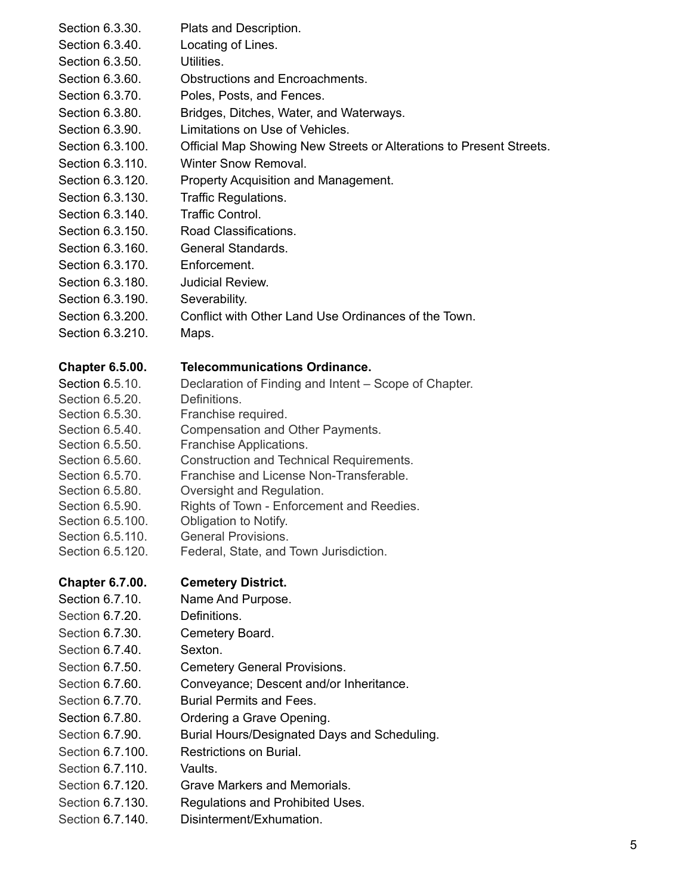| Section 6.3.30.                    | Plats and Description.                                                              |
|------------------------------------|-------------------------------------------------------------------------------------|
| Section 6.3.40.                    | Locating of Lines.                                                                  |
| Section 6.3.50.                    | Utilities.                                                                          |
| Section 6.3.60.                    | <b>Obstructions and Encroachments.</b>                                              |
| Section 6.3.70.                    | Poles, Posts, and Fences.                                                           |
| Section 6.3.80.                    | Bridges, Ditches, Water, and Waterways.                                             |
| Section 6.3.90.                    | Limitations on Use of Vehicles.                                                     |
| Section 6.3.100.                   | Official Map Showing New Streets or Alterations to Present Streets.                 |
| Section 6.3.110.                   | Winter Snow Removal.                                                                |
| Section 6.3.120.                   | Property Acquisition and Management.                                                |
| Section 6.3.130.                   | Traffic Regulations.                                                                |
| Section 6.3.140.                   | <b>Traffic Control.</b>                                                             |
| Section 6.3.150.                   | Road Classifications.                                                               |
| Section 6.3.160.                   | General Standards.                                                                  |
| Section 6.3.170.                   | Enforcement.                                                                        |
| Section 6.3.180.                   | Judicial Review.                                                                    |
| Section 6.3.190.                   | Severability.                                                                       |
| Section 6.3.200.                   | Conflict with Other Land Use Ordinances of the Town.                                |
| Section 6.3.210.                   | Maps.                                                                               |
|                                    |                                                                                     |
| <b>Chapter 6.5.00.</b>             | <b>Telecommunications Ordinance.</b>                                                |
| Section 6.5.10.                    | Declaration of Finding and Intent - Scope of Chapter.                               |
| Section 6.5.20.                    | Definitions.                                                                        |
| Section 6.5.30.                    | Franchise required.                                                                 |
| Section 6.5.40.                    | Compensation and Other Payments.                                                    |
| Section 6.5.50.                    | Franchise Applications.                                                             |
| Section 6.5.60.<br>Section 6.5.70. | Construction and Technical Requirements.<br>Franchise and License Non-Transferable. |
| Section 6.5.80.                    | Oversight and Regulation.                                                           |
| Section 6.5.90.                    | Rights of Town - Enforcement and Reedies.                                           |
| Section 6.5.100.                   | Obligation to Notify.                                                               |
| Section 6.5.110.                   | <b>General Provisions.</b>                                                          |
| Section 6.5.120.                   | Federal, State, and Town Jurisdiction.                                              |
| <b>Chapter 6.7.00.</b>             | <b>Cemetery District.</b>                                                           |
| Section 6.7.10.                    | Name And Purpose.                                                                   |
| Section 6.7.20.                    | Definitions.                                                                        |
| Section 6.7.30.                    | Cemetery Board.                                                                     |
| Section 6.7.40.                    | Sexton.                                                                             |
| Section 6.7.50.                    | <b>Cemetery General Provisions.</b>                                                 |
| Section 6.7.60.                    | Conveyance; Descent and/or Inheritance.                                             |
| Section 6.7.70.                    | <b>Burial Permits and Fees.</b>                                                     |
| Section 6.7.80.                    | Ordering a Grave Opening.                                                           |
| Section 6.7.90.                    | Burial Hours/Designated Days and Scheduling.                                        |
| Section 6.7.100.                   | Restrictions on Burial.                                                             |
| Section 6.7.110.                   | Vaults.                                                                             |
| Section 6.7.120.                   | Grave Markers and Memorials.                                                        |
| Section 6.7.130.                   | Regulations and Prohibited Uses.                                                    |
|                                    |                                                                                     |

Section 6.7.140. Disinterment/Exhumation.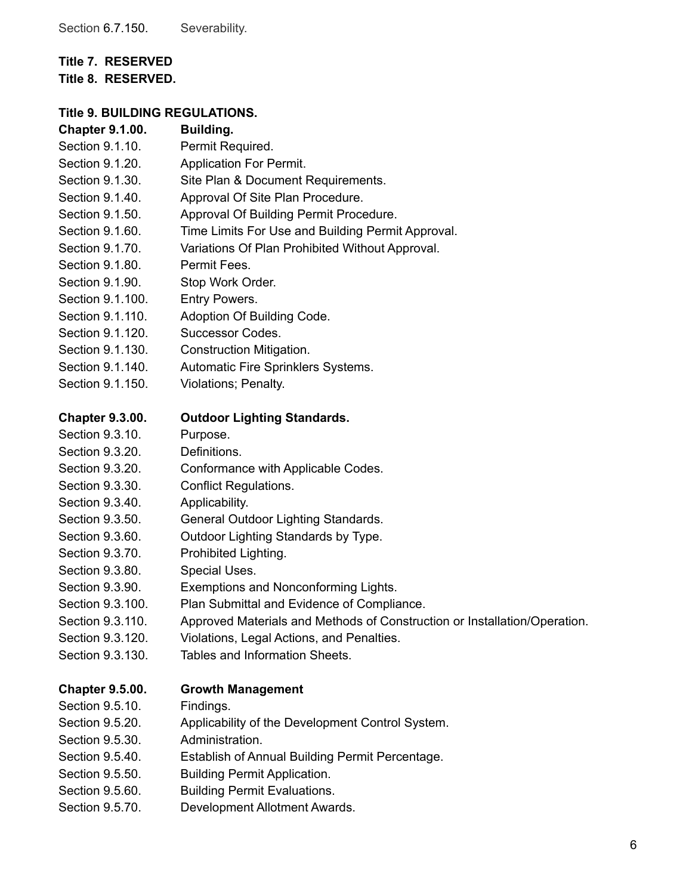# **Title 7. RESERVED**

**Title 8. RESERVED.**

# **Title 9. BUILDING REGULATIONS.**

| <b>Chapter 9.1.00.</b> | Building.                                                                 |
|------------------------|---------------------------------------------------------------------------|
| Section 9.1.10.        | Permit Required.                                                          |
| Section 9.1.20.        | <b>Application For Permit.</b>                                            |
| Section 9.1.30.        | Site Plan & Document Requirements.                                        |
| Section 9.1.40.        | Approval Of Site Plan Procedure.                                          |
| Section 9.1.50.        | Approval Of Building Permit Procedure.                                    |
| Section 9.1.60.        | Time Limits For Use and Building Permit Approval.                         |
| Section 9.1.70.        | Variations Of Plan Prohibited Without Approval.                           |
| Section 9.1.80.        | Permit Fees.                                                              |
| Section 9.1.90.        | Stop Work Order.                                                          |
| Section 9.1.100.       | Entry Powers.                                                             |
| Section 9.1.110.       | Adoption Of Building Code.                                                |
| Section 9.1.120.       | Successor Codes.                                                          |
| Section 9.1.130.       | Construction Mitigation.                                                  |
| Section 9.1.140.       | Automatic Fire Sprinklers Systems.                                        |
| Section 9.1.150.       | Violations; Penalty.                                                      |
| <b>Chapter 9.3.00.</b> | <b>Outdoor Lighting Standards.</b>                                        |
| Section 9.3.10.        | Purpose.                                                                  |
| Section 9.3.20.        | Definitions.                                                              |
| Section 9.3.20.        | Conformance with Applicable Codes.                                        |
| Section 9.3.30.        | <b>Conflict Regulations.</b>                                              |
| Section 9.3.40.        | Applicability.                                                            |
| Section 9.3.50.        | General Outdoor Lighting Standards.                                       |
| Section 9.3.60.        | Outdoor Lighting Standards by Type.                                       |
| Section 9.3.70.        | Prohibited Lighting.                                                      |
| Section 9.3.80.        | Special Uses.                                                             |
| Section 9.3.90.        | Exemptions and Nonconforming Lights.                                      |
| Section 9.3.100.       | Plan Submittal and Evidence of Compliance.                                |
| Section 9.3.110.       | Approved Materials and Methods of Construction or Installation/Operation. |
| Section 9.3.120.       | Violations, Legal Actions, and Penalties.                                 |
| Section 9.3.130.       | Tables and Information Sheets.                                            |
| <b>Chapter 9.5.00.</b> | <b>Growth Management</b>                                                  |
| Section 9.5.10.        | Findings.                                                                 |
| Section 9.5.20.        | Applicability of the Development Control System.                          |
| Section 9.5.30.        | Administration.                                                           |
| Section 9.5.40.        | Establish of Annual Building Permit Percentage.                           |
| Section 9.5.50.        | <b>Building Permit Application.</b>                                       |
| Section 9.5.60.        | <b>Building Permit Evaluations.</b>                                       |
| Section 9.5.70.        | Development Allotment Awards.                                             |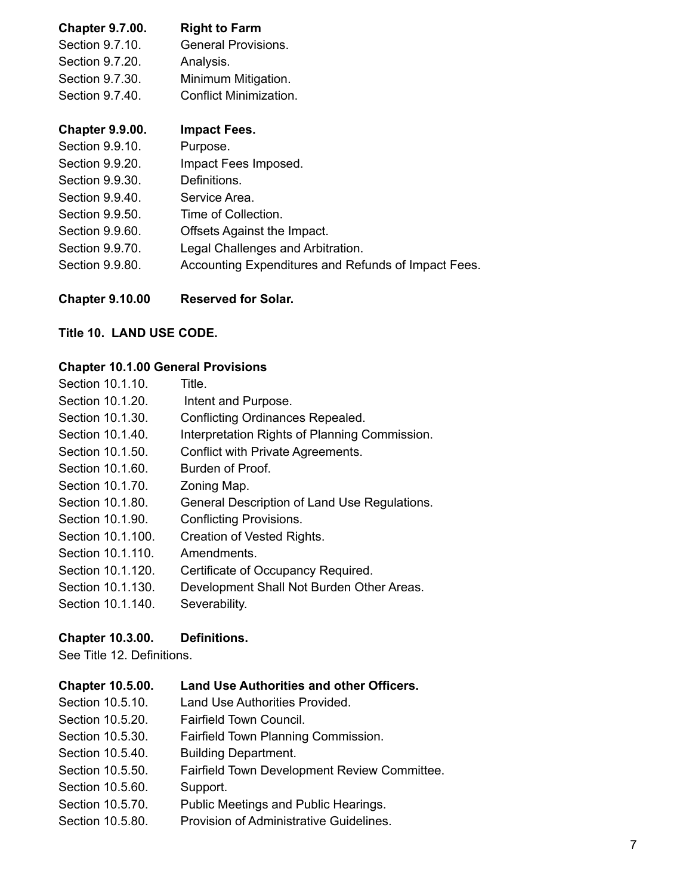| <b>Chapter 9.7.00.</b> | <b>Right to Farm</b>       |
|------------------------|----------------------------|
| Section 9.7.10.        | <b>General Provisions.</b> |
| Section 9.7.20.        | Analysis.                  |
| Section 9.7.30.        | Minimum Mitigation.        |
| Section 9.7.40.        | Conflict Minimization.     |

### **Chapter 9.9.00. Impact Fees.**

| Section 9.9.10. | Purpose.                                            |
|-----------------|-----------------------------------------------------|
| Section 9.9.20. | Impact Fees Imposed.                                |
| Section 9.9.30. | Definitions.                                        |
| Section 9.9.40. | Service Area.                                       |
| Section 9.9.50. | Time of Collection.                                 |
| Section 9.9.60. | Offsets Against the Impact.                         |
| Section 9.9.70. | Legal Challenges and Arbitration.                   |
| Section 9.9.80. | Accounting Expenditures and Refunds of Impact Fees. |
|                 |                                                     |

**Chapter 9.10.00 Reserved for Solar.**

### **Title 10. LAND USE CODE.**

# **Chapter 10.1.00 General Provisions**

| Section 10.1.10.  | Title.                                        |
|-------------------|-----------------------------------------------|
| Section 10.1.20.  | Intent and Purpose.                           |
| Section 10.1.30.  | Conflicting Ordinances Repealed.              |
| Section 10.1.40.  | Interpretation Rights of Planning Commission. |
| Section 10.1.50.  | Conflict with Private Agreements.             |
| Section 10.1.60.  | Burden of Proof.                              |
| Section 10.1.70.  | Zoning Map.                                   |
| Section 10.1.80.  | General Description of Land Use Regulations.  |
| Section 10.1.90.  | <b>Conflicting Provisions.</b>                |
| Section 10.1.100. | Creation of Vested Rights.                    |
| Section 10.1.110. | Amendments.                                   |
| Section 10.1.120. | Certificate of Occupancy Required.            |
| Section 10.1.130. | Development Shall Not Burden Other Areas.     |
| Section 10.1.140. | Severability.                                 |

### **Chapter 10.3.00. Definitions.**

See Title 12. Definitions.

| <b>Chapter 10.5.00.</b> | <b>Land Use Authorities and other Officers.</b> |
|-------------------------|-------------------------------------------------|
| Section 10.5.10.        | Land Use Authorities Provided.                  |
| Section 10.5.20.        | Fairfield Town Council.                         |
| Section 10.5.30.        | Fairfield Town Planning Commission.             |
| Section 10.5.40.        | <b>Building Department.</b>                     |
| Section 10.5.50.        | Fairfield Town Development Review Committee.    |
| Section 10.5.60.        | Support.                                        |
| Section 10.5.70.        | Public Meetings and Public Hearings.            |
| Section 10.5.80.        | Provision of Administrative Guidelines.         |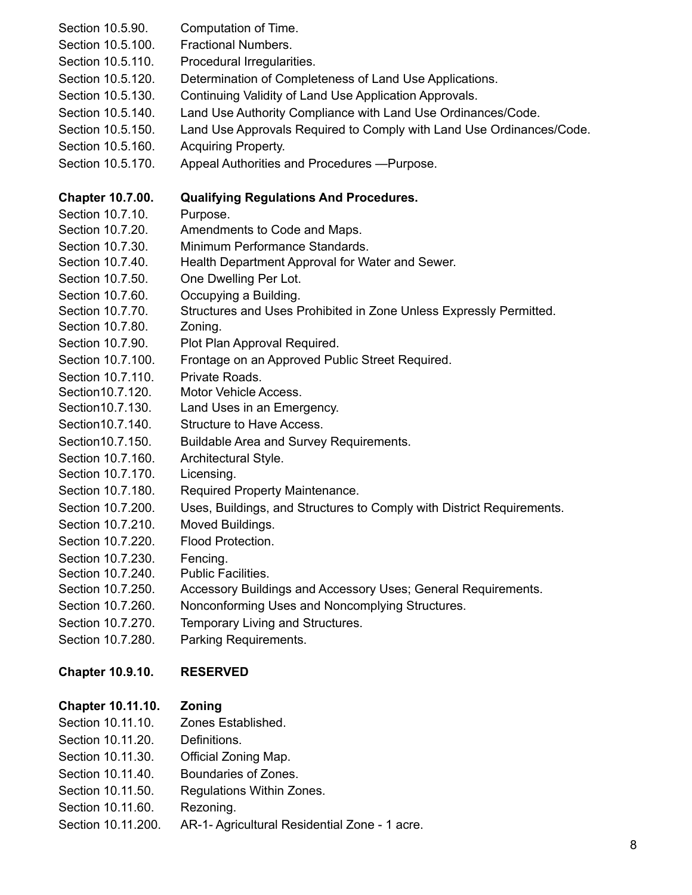| Section 10.5.90.<br>Section 10.5.100.<br>Section 10.5.110.<br>Section 10.5.120.<br>Section 10.5.130.<br>Section 10.5.140.<br>Section 10.5.150.<br>Section 10.5.160.<br>Section 10.5.170. | Computation of Time.<br><b>Fractional Numbers.</b><br>Procedural Irregularities.<br>Determination of Completeness of Land Use Applications.<br>Continuing Validity of Land Use Application Approvals.<br>Land Use Authority Compliance with Land Use Ordinances/Code.<br>Land Use Approvals Required to Comply with Land Use Ordinances/Code.<br><b>Acquiring Property.</b><br>Appeal Authorities and Procedures - Purpose. |
|------------------------------------------------------------------------------------------------------------------------------------------------------------------------------------------|-----------------------------------------------------------------------------------------------------------------------------------------------------------------------------------------------------------------------------------------------------------------------------------------------------------------------------------------------------------------------------------------------------------------------------|
| <b>Chapter 10.7.00.</b>                                                                                                                                                                  | <b>Qualifying Regulations And Procedures.</b>                                                                                                                                                                                                                                                                                                                                                                               |
| Section 10.7.10.                                                                                                                                                                         | Purpose.                                                                                                                                                                                                                                                                                                                                                                                                                    |
| Section 10.7.20.                                                                                                                                                                         | Amendments to Code and Maps.                                                                                                                                                                                                                                                                                                                                                                                                |
| Section 10.7.30.                                                                                                                                                                         | Minimum Performance Standards.                                                                                                                                                                                                                                                                                                                                                                                              |
| Section 10.7.40.                                                                                                                                                                         | Health Department Approval for Water and Sewer.                                                                                                                                                                                                                                                                                                                                                                             |
| Section 10.7.50.                                                                                                                                                                         | One Dwelling Per Lot.                                                                                                                                                                                                                                                                                                                                                                                                       |
| Section 10.7.60.                                                                                                                                                                         | Occupying a Building.                                                                                                                                                                                                                                                                                                                                                                                                       |
| Section 10.7.70.                                                                                                                                                                         | Structures and Uses Prohibited in Zone Unless Expressly Permitted.                                                                                                                                                                                                                                                                                                                                                          |
| Section 10.7.80.                                                                                                                                                                         | Zoning.                                                                                                                                                                                                                                                                                                                                                                                                                     |
| Section 10.7.90.                                                                                                                                                                         | Plot Plan Approval Required.                                                                                                                                                                                                                                                                                                                                                                                                |
| Section 10.7.100.                                                                                                                                                                        | Frontage on an Approved Public Street Required.                                                                                                                                                                                                                                                                                                                                                                             |
| Section 10.7.110.                                                                                                                                                                        | Private Roads.                                                                                                                                                                                                                                                                                                                                                                                                              |
| Section 10.7.120.                                                                                                                                                                        | Motor Vehicle Access.                                                                                                                                                                                                                                                                                                                                                                                                       |
| Section 10.7.130.                                                                                                                                                                        | Land Uses in an Emergency.                                                                                                                                                                                                                                                                                                                                                                                                  |
| Section 10.7.140.                                                                                                                                                                        | <b>Structure to Have Access.</b>                                                                                                                                                                                                                                                                                                                                                                                            |
| Section 10.7.150.                                                                                                                                                                        | Buildable Area and Survey Requirements.                                                                                                                                                                                                                                                                                                                                                                                     |
| Section 10.7.160.                                                                                                                                                                        | Architectural Style.                                                                                                                                                                                                                                                                                                                                                                                                        |
| Section 10.7.170.                                                                                                                                                                        | Licensing.                                                                                                                                                                                                                                                                                                                                                                                                                  |
| Section 10.7.180.                                                                                                                                                                        | Required Property Maintenance.                                                                                                                                                                                                                                                                                                                                                                                              |
| Section 10.7.200.                                                                                                                                                                        | Uses, Buildings, and Structures to Comply with District Requirements.                                                                                                                                                                                                                                                                                                                                                       |
| Section 10.7.210.                                                                                                                                                                        | Moved Buildings.                                                                                                                                                                                                                                                                                                                                                                                                            |
| Section 10.7.220.                                                                                                                                                                        | Flood Protection.                                                                                                                                                                                                                                                                                                                                                                                                           |
| Section 10.7.230.                                                                                                                                                                        | Fencing.                                                                                                                                                                                                                                                                                                                                                                                                                    |
| Section 10.7.240.                                                                                                                                                                        | Public Facilities.                                                                                                                                                                                                                                                                                                                                                                                                          |
| Section 10.7.250.                                                                                                                                                                        | Accessory Buildings and Accessory Uses; General Requirements.                                                                                                                                                                                                                                                                                                                                                               |
| Section 10.7.260.                                                                                                                                                                        | Nonconforming Uses and Noncomplying Structures.                                                                                                                                                                                                                                                                                                                                                                             |
| Section 10.7.270.                                                                                                                                                                        | Temporary Living and Structures.                                                                                                                                                                                                                                                                                                                                                                                            |
| Section 10.7.280.                                                                                                                                                                        | Parking Requirements.                                                                                                                                                                                                                                                                                                                                                                                                       |
| <b>Chapter 10.9.10.</b>                                                                                                                                                                  | <b>RESERVED</b>                                                                                                                                                                                                                                                                                                                                                                                                             |
| <b>Chapter 10.11.10.</b>                                                                                                                                                                 | Zoning                                                                                                                                                                                                                                                                                                                                                                                                                      |
| Section 10.11.10.                                                                                                                                                                        | Zones Established.                                                                                                                                                                                                                                                                                                                                                                                                          |
| Section 10.11.20.                                                                                                                                                                        | Definitions.                                                                                                                                                                                                                                                                                                                                                                                                                |
| Section 10.11.30.                                                                                                                                                                        | Official Zoning Map.                                                                                                                                                                                                                                                                                                                                                                                                        |
| Section 10.11.40.                                                                                                                                                                        | Boundaries of Zones.                                                                                                                                                                                                                                                                                                                                                                                                        |
| Section 10.11.50.                                                                                                                                                                        | Regulations Within Zones.                                                                                                                                                                                                                                                                                                                                                                                                   |
| Section 10.11.60.                                                                                                                                                                        | Rezoning.                                                                                                                                                                                                                                                                                                                                                                                                                   |
| Section 10.11.200.                                                                                                                                                                       | AR-1- Agricultural Residential Zone - 1 acre.                                                                                                                                                                                                                                                                                                                                                                               |
|                                                                                                                                                                                          |                                                                                                                                                                                                                                                                                                                                                                                                                             |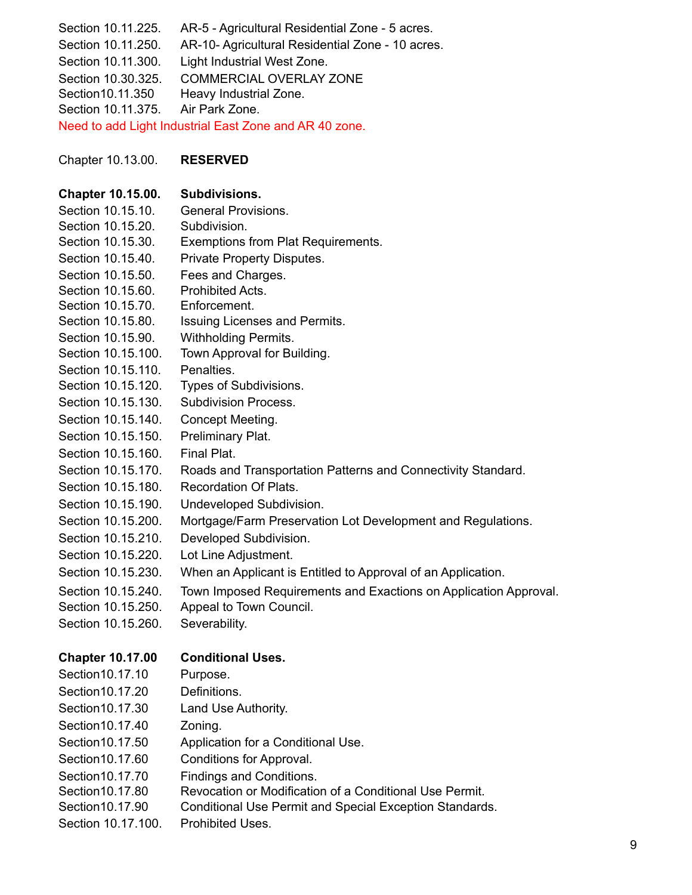| Section 10.11.225.       | AR-5 - Agricultural Residential Zone - 5 acres.                  |
|--------------------------|------------------------------------------------------------------|
| Section 10.11.250.       | AR-10- Agricultural Residential Zone - 10 acres.                 |
| Section 10.11.300.       | Light Industrial West Zone.                                      |
| Section 10.30.325.       | <b>COMMERCIAL OVERLAY ZONE</b>                                   |
| Section10.11.350         | Heavy Industrial Zone.                                           |
| Section 10.11.375.       | Air Park Zone.                                                   |
|                          | Need to add Light Industrial East Zone and AR 40 zone.           |
|                          |                                                                  |
| Chapter 10.13.00.        | <b>RESERVED</b>                                                  |
| <b>Chapter 10.15.00.</b> | Subdivisions.                                                    |
| Section 10.15.10.        | <b>General Provisions.</b>                                       |
| Section 10.15.20.        | Subdivision.                                                     |
| Section 10.15.30.        | Exemptions from Plat Requirements.                               |
| Section 10.15.40.        | Private Property Disputes.                                       |
| Section 10.15.50.        | Fees and Charges.                                                |
| Section 10.15.60.        | Prohibited Acts.                                                 |
| Section 10.15.70.        | Enforcement.                                                     |
| Section 10.15.80.        | Issuing Licenses and Permits.                                    |
| Section 10.15.90.        | <b>Withholding Permits.</b>                                      |
| Section 10.15.100.       | Town Approval for Building.                                      |
| Section 10.15.110.       | Penalties.                                                       |
| Section 10.15.120.       | Types of Subdivisions.                                           |
| Section 10.15.130.       | <b>Subdivision Process.</b>                                      |
| Section 10.15.140.       | Concept Meeting.                                                 |
| Section 10.15.150.       | Preliminary Plat.                                                |
| Section 10.15.160.       | Final Plat.                                                      |
| Section 10.15.170.       | Roads and Transportation Patterns and Connectivity Standard.     |
| Section 10.15.180.       | <b>Recordation Of Plats.</b>                                     |
| Section 10.15.190.       | Undeveloped Subdivision.                                         |
| Section 10.15.200.       | Mortgage/Farm Preservation Lot Development and Regulations.      |
| Section 10.15.210.       | Developed Subdivision.                                           |
| Section 10.15.220.       | Lot Line Adjustment.                                             |
| Section 10.15.230.       | When an Applicant is Entitled to Approval of an Application.     |
| Section 10.15.240.       | Town Imposed Requirements and Exactions on Application Approval. |
| Section 10.15.250.       | Appeal to Town Council.                                          |
| Section 10.15.260.       | Severability.                                                    |
|                          |                                                                  |
| <b>Chapter 10.17.00</b>  | <b>Conditional Uses.</b>                                         |
| Section 10.17.10         | Purpose.                                                         |
| Section 10.17.20         | Definitions.                                                     |
| Section 10.17.30         | Land Use Authority.                                              |
| Section 10.17.40         | Zoning.                                                          |
| Section 10.17.50         | Application for a Conditional Use.                               |
| Section 10.17.60         | Conditions for Approval.                                         |
| Section 10.17.70         | Findings and Conditions.                                         |
| Section 10.17.80         | Revocation or Modification of a Conditional Use Permit.          |
| Section 10.17.90         | Conditional Use Permit and Special Exception Standards.          |
| Section 10.17.100.       | Prohibited Uses.                                                 |
|                          |                                                                  |